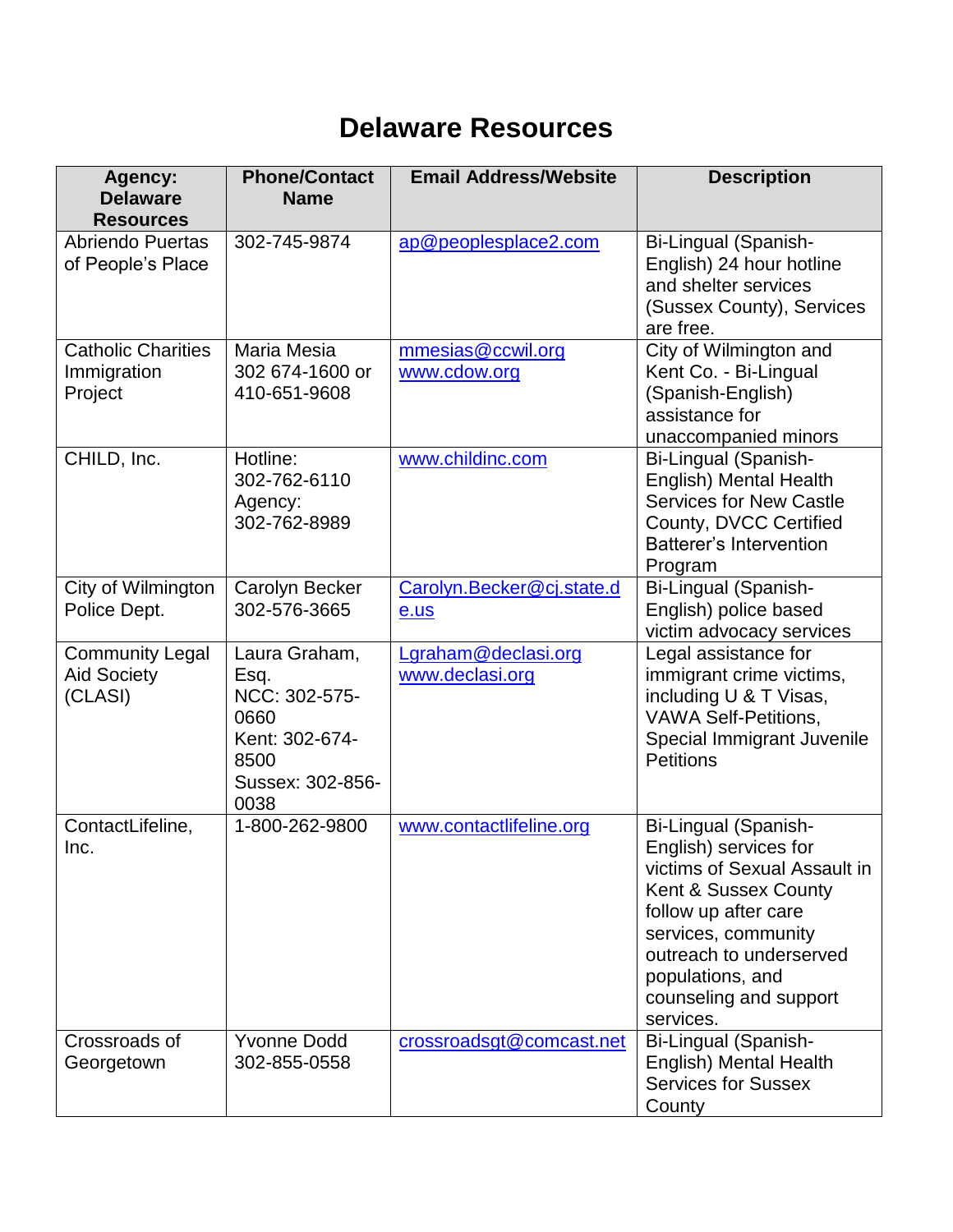## **Delaware Resources**

| Agency:<br><b>Delaware</b><br><b>Resources</b>          | <b>Phone/Contact</b><br><b>Name</b>                                                                  | <b>Email Address/Website</b>           | <b>Description</b>                                                                                                                                                                                                                         |
|---------------------------------------------------------|------------------------------------------------------------------------------------------------------|----------------------------------------|--------------------------------------------------------------------------------------------------------------------------------------------------------------------------------------------------------------------------------------------|
| <b>Abriendo Puertas</b><br>of People's Place            | 302-745-9874                                                                                         | ap@peoplesplace2.com                   | Bi-Lingual (Spanish-<br>English) 24 hour hotline<br>and shelter services<br>(Sussex County), Services<br>are free.                                                                                                                         |
| <b>Catholic Charities</b><br>Immigration<br>Project     | Maria Mesia<br>302 674-1600 or<br>410-651-9608                                                       | mmesias@ccwil.org<br>www.cdow.org      | City of Wilmington and<br>Kent Co. - Bi-Lingual<br>(Spanish-English)<br>assistance for<br>unaccompanied minors                                                                                                                             |
| CHILD, Inc.                                             | Hotline:<br>302-762-6110<br>Agency:<br>302-762-8989                                                  | www.childinc.com                       | Bi-Lingual (Spanish-<br>English) Mental Health<br><b>Services for New Castle</b><br>County, DVCC Certified<br><b>Batterer's Intervention</b><br>Program                                                                                    |
| City of Wilmington<br>Police Dept.                      | <b>Carolyn Becker</b><br>302-576-3665                                                                | Carolyn.Becker@cj.state.d<br>e.us      | Bi-Lingual (Spanish-<br>English) police based<br>victim advocacy services                                                                                                                                                                  |
| <b>Community Legal</b><br><b>Aid Society</b><br>(CLASI) | Laura Graham,<br>Esq.<br>NCC: 302-575-<br>0660<br>Kent: 302-674-<br>8500<br>Sussex: 302-856-<br>0038 | Lgraham@declasi.org<br>www.declasi.org | Legal assistance for<br>immigrant crime victims,<br>including U & T Visas,<br><b>VAWA Self-Petitions,</b><br>Special Immigrant Juvenile<br><b>Petitions</b>                                                                                |
| ContactLifeline,<br>Inc.                                | 1-800-262-9800                                                                                       | www.contactlifeline.org                | Bi-Lingual (Spanish-<br>English) services for<br>victims of Sexual Assault in<br>Kent & Sussex County<br>follow up after care<br>services, community<br>outreach to underserved<br>populations, and<br>counseling and support<br>services. |
| Crossroads of<br>Georgetown                             | <b>Yvonne Dodd</b><br>302-855-0558                                                                   | crossroadsgt@comcast.net               | Bi-Lingual (Spanish-<br>English) Mental Health<br><b>Services for Sussex</b><br>County                                                                                                                                                     |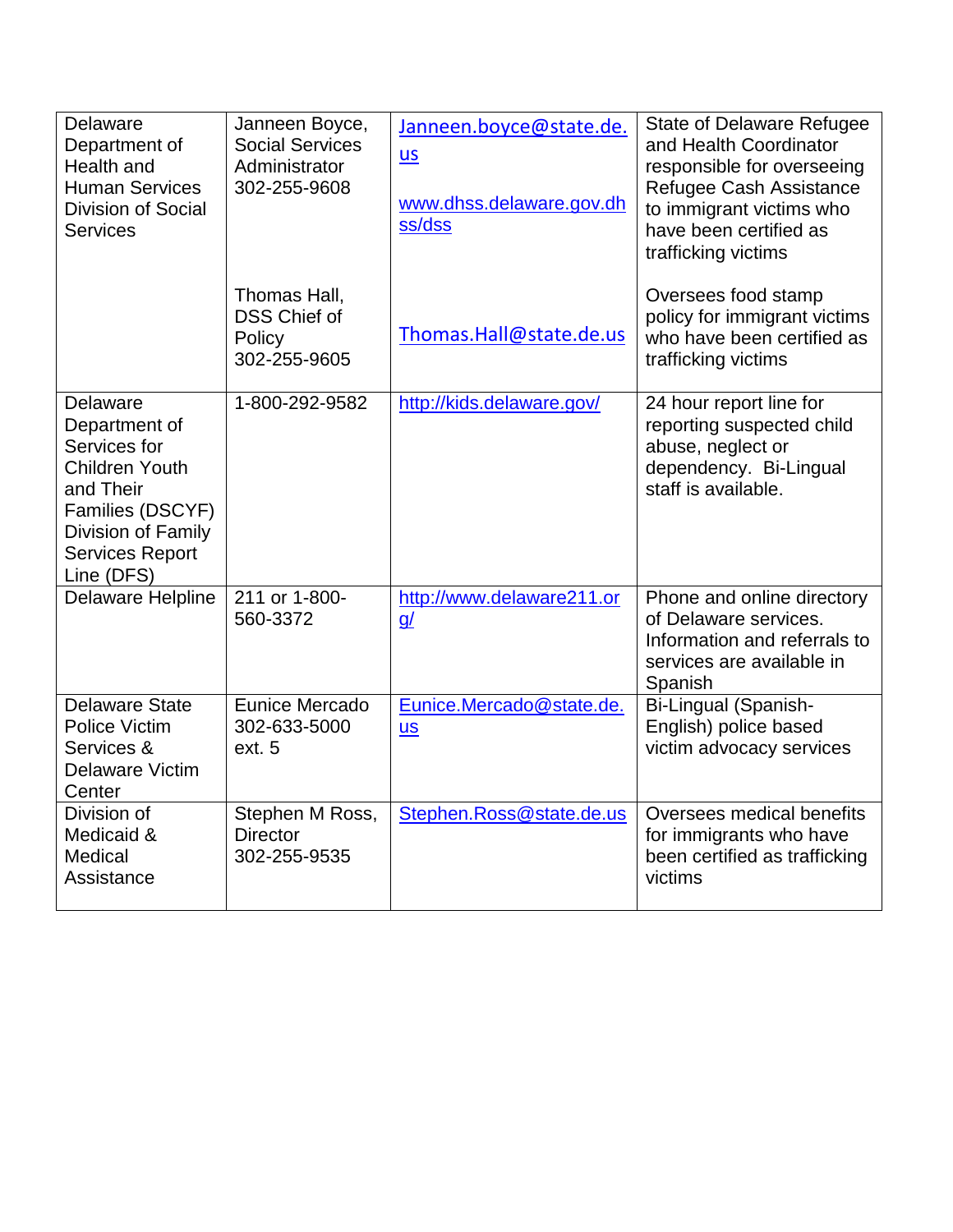| Delaware<br>Department of<br>Health and<br><b>Human Services</b><br><b>Division of Social</b><br><b>Services</b>                                                  | Janneen Boyce,<br><b>Social Services</b><br>Administrator<br>302-255-9608 | Janneen.boyce@state.de.<br>$us$<br>www.dhss.delaware.gov.dh<br>ss/dss | <b>State of Delaware Refugee</b><br>and Health Coordinator<br>responsible for overseeing<br>Refugee Cash Assistance<br>to immigrant victims who<br>have been certified as<br>trafficking victims |
|-------------------------------------------------------------------------------------------------------------------------------------------------------------------|---------------------------------------------------------------------------|-----------------------------------------------------------------------|--------------------------------------------------------------------------------------------------------------------------------------------------------------------------------------------------|
|                                                                                                                                                                   | Thomas Hall,<br><b>DSS Chief of</b><br>Policy<br>302-255-9605             | Thomas.Hall@state.de.us                                               | Oversees food stamp<br>policy for immigrant victims<br>who have been certified as<br>trafficking victims                                                                                         |
| Delaware<br>Department of<br>Services for<br><b>Children Youth</b><br>and Their<br>Families (DSCYF)<br>Division of Family<br><b>Services Report</b><br>Line (DFS) | 1-800-292-9582                                                            | http://kids.delaware.gov/                                             | 24 hour report line for<br>reporting suspected child<br>abuse, neglect or<br>dependency. Bi-Lingual<br>staff is available.                                                                       |
| Delaware Helpline                                                                                                                                                 | 211 or 1-800-<br>560-3372                                                 | http://www.delaware211.or<br>$\underline{q}$                          | Phone and online directory<br>of Delaware services.<br>Information and referrals to<br>services are available in<br>Spanish                                                                      |
| <b>Delaware State</b><br><b>Police Victim</b><br>Services &<br>Delaware Victim<br>Center                                                                          | Eunice Mercado<br>302-633-5000<br>ext. 5                                  | Eunice.Mercado@state.de.<br><b>us</b>                                 | Bi-Lingual (Spanish-<br>English) police based<br>victim advocacy services                                                                                                                        |
| Division of<br>Medicaid &<br>Medical<br>Assistance                                                                                                                | Stephen M Ross,<br><b>Director</b><br>302-255-9535                        | Stephen.Ross@state.de.us                                              | Oversees medical benefits<br>for immigrants who have<br>been certified as trafficking<br>victims                                                                                                 |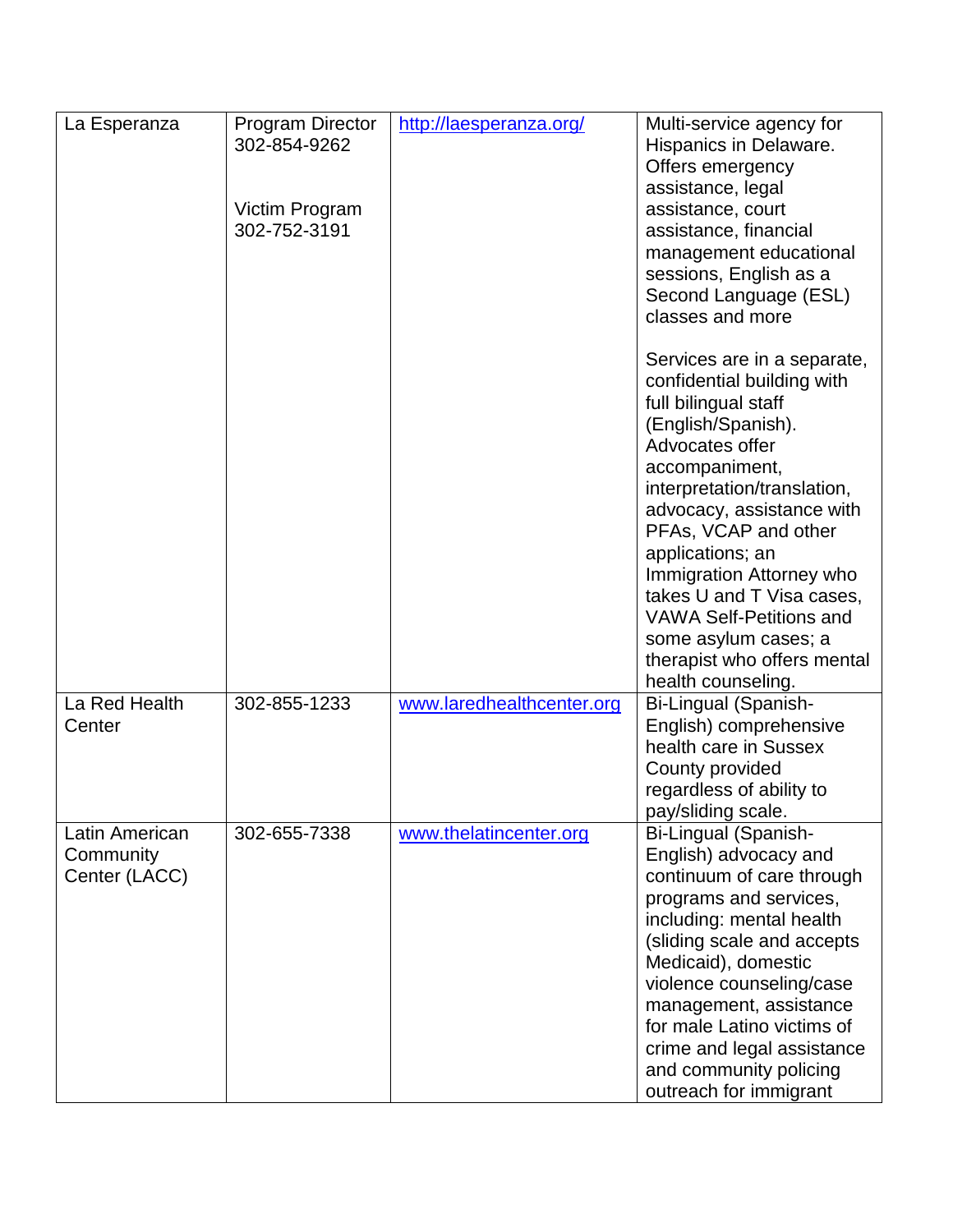| La Esperanza                                 | <b>Program Director</b><br>302-854-9262<br>Victim Program<br>302-752-3191 | http://laesperanza.org/   | Multi-service agency for<br>Hispanics in Delaware.<br>Offers emergency<br>assistance, legal<br>assistance, court<br>assistance, financial<br>management educational                                                                                                                                                                                                                                                          |
|----------------------------------------------|---------------------------------------------------------------------------|---------------------------|------------------------------------------------------------------------------------------------------------------------------------------------------------------------------------------------------------------------------------------------------------------------------------------------------------------------------------------------------------------------------------------------------------------------------|
|                                              |                                                                           |                           | sessions, English as a<br>Second Language (ESL)<br>classes and more                                                                                                                                                                                                                                                                                                                                                          |
|                                              |                                                                           |                           | Services are in a separate,<br>confidential building with<br>full bilingual staff<br>(English/Spanish).<br>Advocates offer<br>accompaniment,<br>interpretation/translation,<br>advocacy, assistance with<br>PFAs, VCAP and other<br>applications; an<br>Immigration Attorney who<br>takes U and T Visa cases,<br><b>VAWA Self-Petitions and</b><br>some asylum cases; a<br>therapist who offers mental<br>health counseling. |
| La Red Health<br>Center                      | 302-855-1233                                                              | www.laredhealthcenter.org | Bi-Lingual (Spanish-<br>English) comprehensive<br>health care in Sussex<br>County provided<br>regardless of ability to<br>pay/sliding scale.                                                                                                                                                                                                                                                                                 |
| Latin American<br>Community<br>Center (LACC) | 302-655-7338                                                              | www.thelatincenter.org    | Bi-Lingual (Spanish-<br>English) advocacy and<br>continuum of care through<br>programs and services,<br>including: mental health<br>(sliding scale and accepts<br>Medicaid), domestic<br>violence counseling/case<br>management, assistance<br>for male Latino victims of<br>crime and legal assistance<br>and community policing<br>outreach for immigrant                                                                  |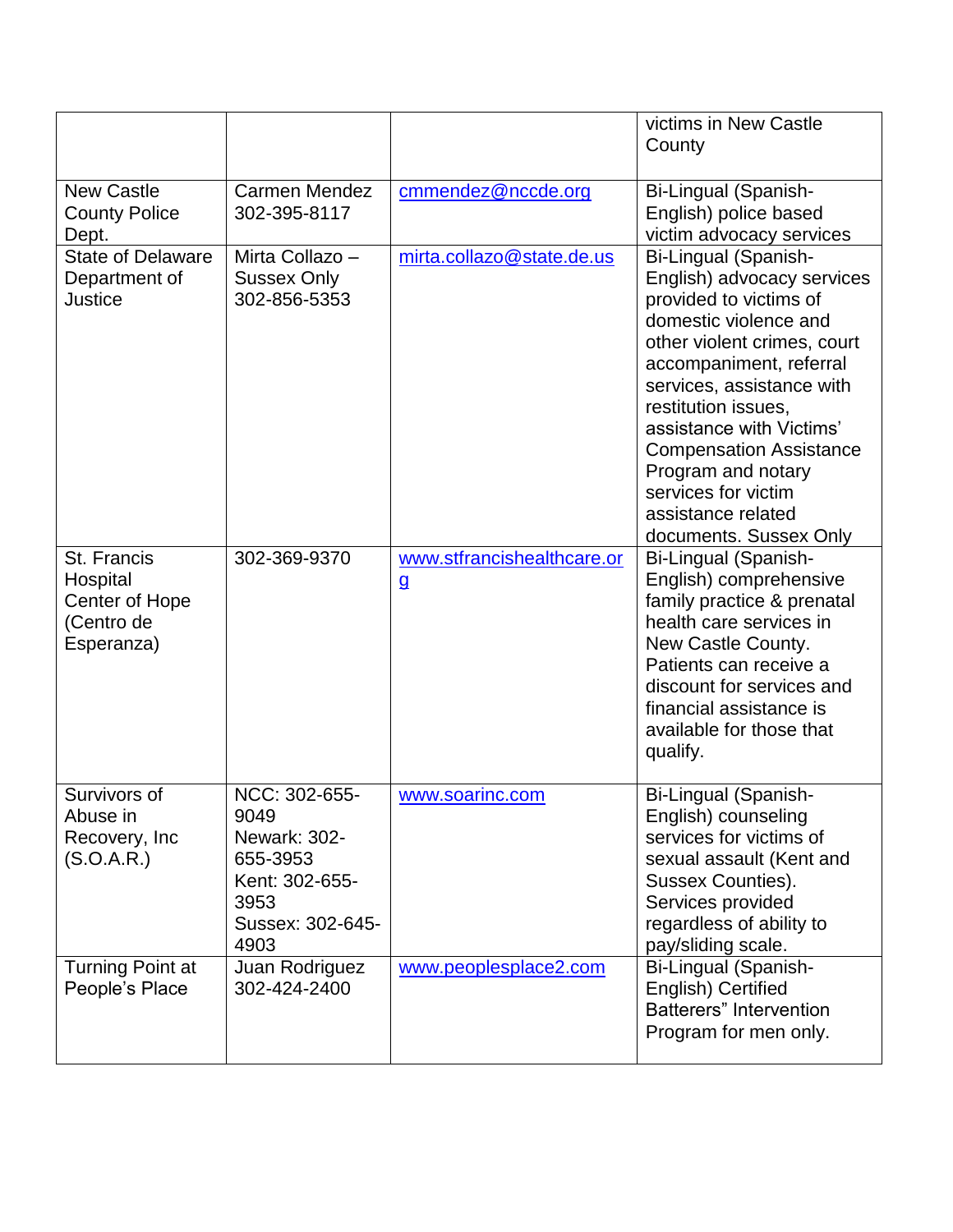|                                                                       |                                                                                                         |                                            | victims in New Castle<br>County                                                                                                                                                                                                                                                                                                                                                |
|-----------------------------------------------------------------------|---------------------------------------------------------------------------------------------------------|--------------------------------------------|--------------------------------------------------------------------------------------------------------------------------------------------------------------------------------------------------------------------------------------------------------------------------------------------------------------------------------------------------------------------------------|
|                                                                       |                                                                                                         |                                            |                                                                                                                                                                                                                                                                                                                                                                                |
| <b>New Castle</b><br><b>County Police</b><br>Dept.                    | <b>Carmen Mendez</b><br>302-395-8117                                                                    | cmmendez@nccde.org                         | Bi-Lingual (Spanish-<br>English) police based<br>victim advocacy services                                                                                                                                                                                                                                                                                                      |
| <b>State of Delaware</b><br>Department of<br><b>Justice</b>           | Mirta Collazo -<br><b>Sussex Only</b><br>302-856-5353                                                   | mirta.collazo@state.de.us                  | Bi-Lingual (Spanish-<br>English) advocacy services<br>provided to victims of<br>domestic violence and<br>other violent crimes, court<br>accompaniment, referral<br>services, assistance with<br>restitution issues,<br>assistance with Victims'<br><b>Compensation Assistance</b><br>Program and notary<br>services for victim<br>assistance related<br>documents. Sussex Only |
| St. Francis<br>Hospital<br>Center of Hope<br>(Centro de<br>Esperanza) | 302-369-9370                                                                                            | www.stfrancishealthcare.or<br>$\mathbf{g}$ | Bi-Lingual (Spanish-<br>English) comprehensive<br>family practice & prenatal<br>health care services in<br>New Castle County.<br>Patients can receive a<br>discount for services and<br>financial assistance is<br>available for those that<br>qualify.                                                                                                                        |
| Survivors of<br>Abuse in<br>Recovery, Inc.<br>(S.O.A.R.)              | NCC: 302-655-<br>9049<br>Newark: 302-<br>655-3953<br>Kent: 302-655-<br>3953<br>Sussex: 302-645-<br>4903 | www.soarinc.com                            | Bi-Lingual (Spanish-<br>English) counseling<br>services for victims of<br>sexual assault (Kent and<br>Sussex Counties).<br>Services provided<br>regardless of ability to<br>pay/sliding scale.                                                                                                                                                                                 |
| <b>Turning Point at</b><br>People's Place                             | Juan Rodriguez<br>302-424-2400                                                                          | www.peoplesplace2.com                      | Bi-Lingual (Spanish-<br>English) Certified<br><b>Batterers</b> " Intervention<br>Program for men only.                                                                                                                                                                                                                                                                         |